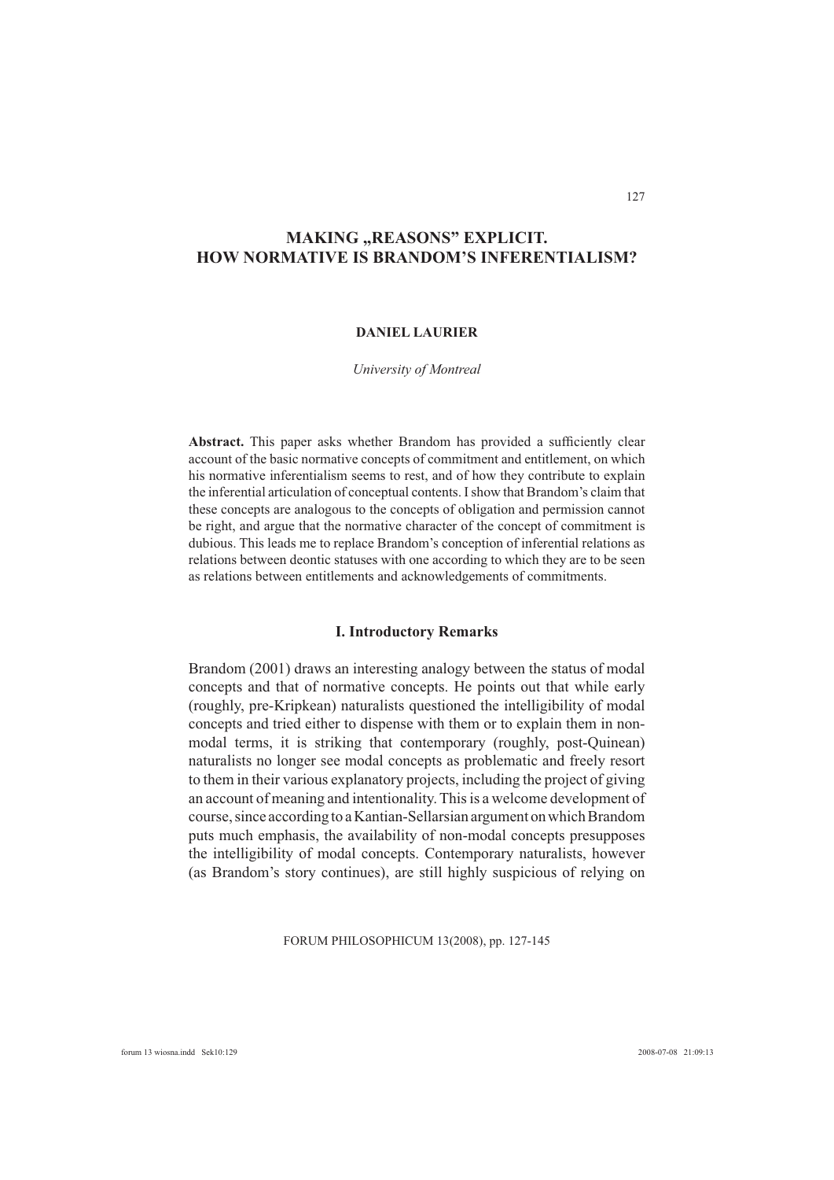# **MAKING "REASONS" EXPLICIT. HOW NORMATIVE IS BRANDOM'S INFERENTIALISM?**

# **DANIEL LAURIER**

### *University of Montreal*

Abstract. This paper asks whether Brandom has provided a sufficiently clear account of the basic normative concepts of commitment and entitlement, on which his normative inferentialism seems to rest, and of how they contribute to explain the inferential articulation of conceptual contents. I show that Brandom's claim that these concepts are analogous to the concepts of obligation and permission cannot be right, and argue that the normative character of the concept of commitment is dubious. This leads me to replace Brandom's conception of inferential relations as relations between deontic statuses with one according to which they are to be seen as relations between entitlements and acknowledgements of commitments.

### **I. Introductory Remarks**

Brandom (2001) draws an interesting analogy between the status of modal concepts and that of normative concepts. He points out that while early (roughly, pre-Kripkean) naturalists questioned the intelligibility of modal concepts and tried either to dispense with them or to explain them in nonmodal terms, it is striking that contemporary (roughly, post-Quinean) naturalists no longer see modal concepts as problematic and freely resort to them in their various explanatory projects, including the project of giving an account of meaning and intentionality. This is a welcome development of course, since according to a Kantian-Sellarsian argument on which Brandom puts much emphasis, the availability of non-modal concepts presupposes the intelligibility of modal concepts. Contemporary naturalists, however (as Brandom's story continues), are still highly suspicious of relying on

FORUM PHILOSOPHICUM 13(2008), pp. 127-145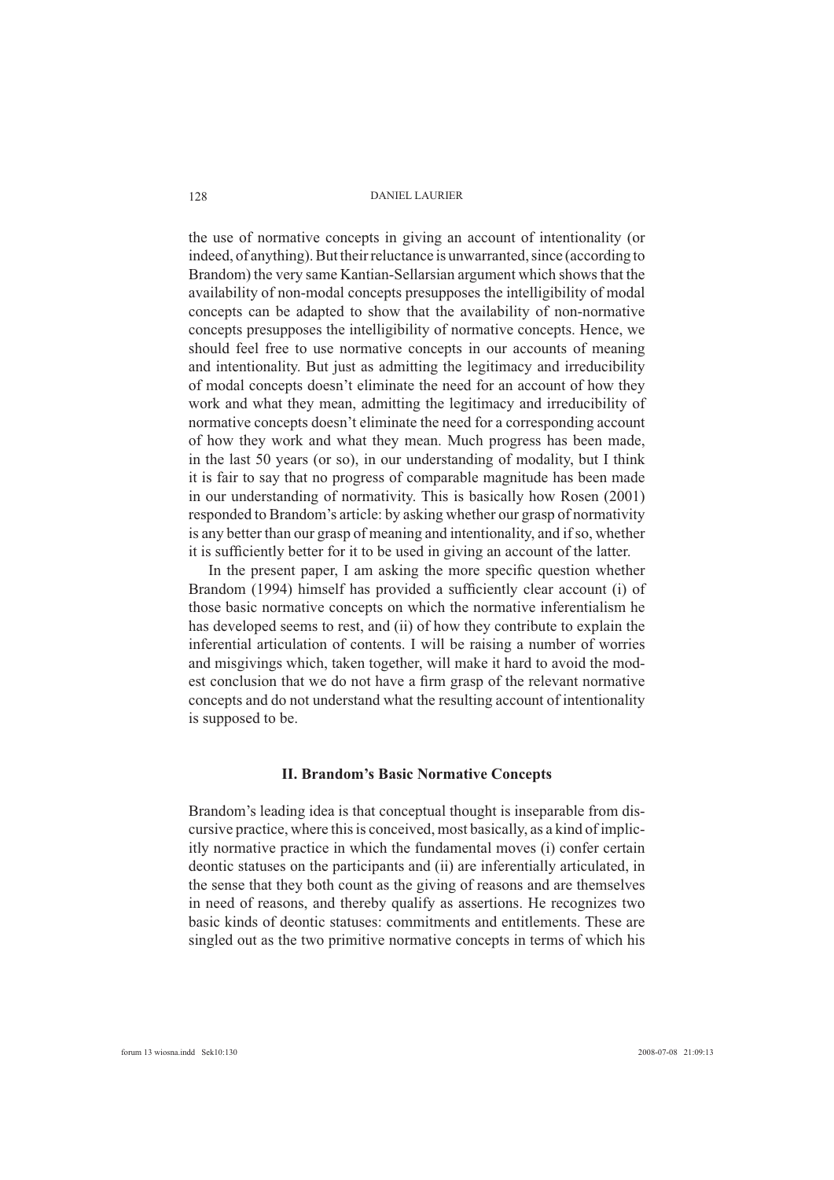the use of normative concepts in giving an account of intentionality (or indeed, of anything). But their reluctance is unwarranted, since (according to Brandom) the very same Kantian-Sellarsian argument which shows that the availability of non-modal concepts presupposes the intelligibility of modal concepts can be adapted to show that the availability of non-normative concepts presupposes the intelligibility of normative concepts. Hence, we should feel free to use normative concepts in our accounts of meaning and intentionality. But just as admitting the legitimacy and irreducibility of modal concepts doesn't eliminate the need for an account of how they work and what they mean, admitting the legitimacy and irreducibility of normative concepts doesn't eliminate the need for a corresponding account of how they work and what they mean. Much progress has been made, in the last 50 years (or so), in our understanding of modality, but I think it is fair to say that no progress of comparable magnitude has been made in our understanding of normativity. This is basically how Rosen (2001) responded to Brandom's article: by asking whether our grasp of normativity is any better than our grasp of meaning and intentionality, and if so, whether it is sufficiently better for it to be used in giving an account of the latter.

In the present paper, I am asking the more specific question whether Brandom (1994) himself has provided a sufficiently clear account (i) of those basic normative concepts on which the normative inferentialism he has developed seems to rest, and (ii) of how they contribute to explain the inferential articulation of contents. I will be raising a number of worries and misgivings which, taken together, will make it hard to avoid the modest conclusion that we do not have a firm grasp of the relevant normative concepts and do not understand what the resulting account of intentionality is supposed to be.

# **II. Brandom's Basic Normative Concepts**

Brandom's leading idea is that conceptual thought is inseparable from discursive practice, where this is conceived, most basically, as a kind of implicitly normative practice in which the fundamental moves (i) confer certain deontic statuses on the participants and (ii) are inferentially articulated, in the sense that they both count as the giving of reasons and are themselves in need of reasons, and thereby qualify as assertions. He recognizes two basic kinds of deontic statuses: commitments and entitlements. These are singled out as the two primitive normative concepts in terms of which his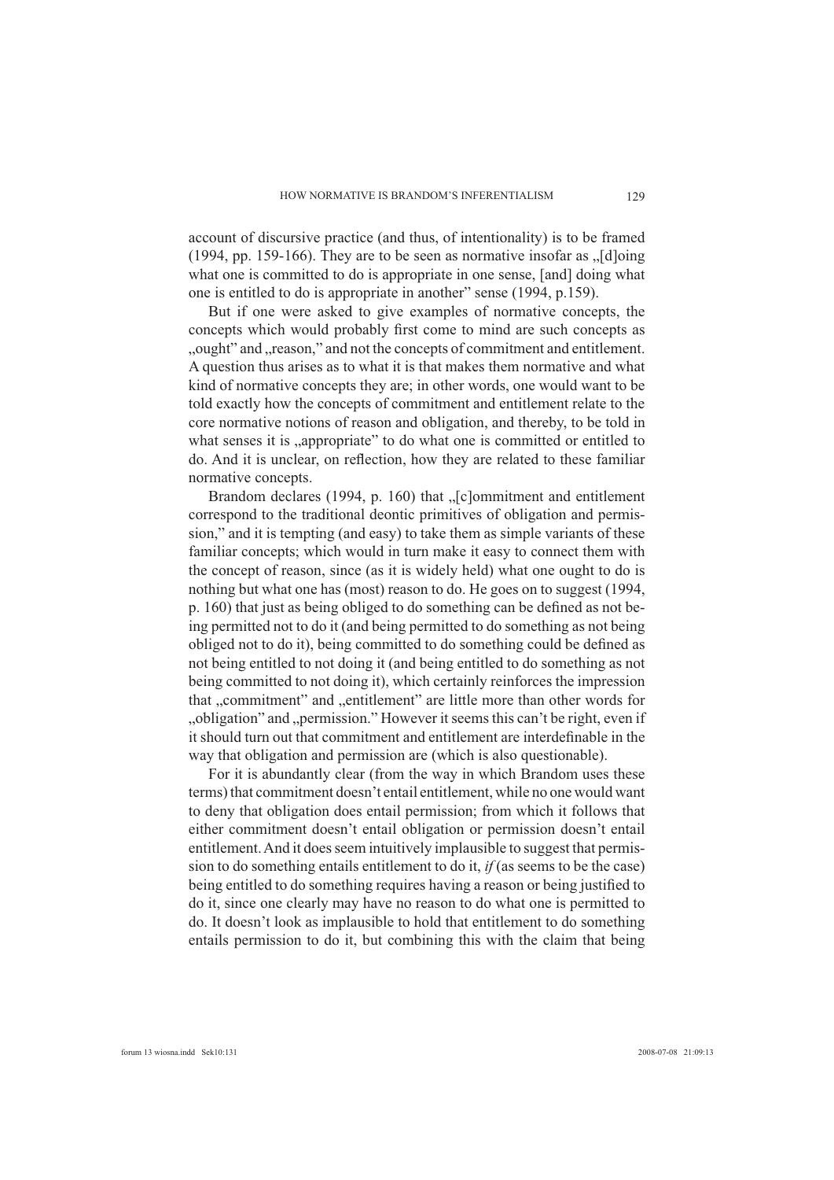account of discursive practice (and thus, of intentionality) is to be framed (1994, pp. 159-166). They are to be seen as normative insofar as  $\sqrt{\text{d}}$  d what one is committed to do is appropriate in one sense, [and] doing what one is entitled to do is appropriate in another" sense (1994, p.159).

But if one were asked to give examples of normative concepts, the concepts which would probably first come to mind are such concepts as ", ought" and "reason," and not the concepts of commitment and entitlement. A question thus arises as to what it is that makes them normative and what kind of normative concepts they are; in other words, one would want to be told exactly how the concepts of commitment and entitlement relate to the core normative notions of reason and obligation, and thereby, to be told in what senses it is "appropriate" to do what one is committed or entitled to do. And it is unclear, on reflection, how they are related to these familiar normative concepts.

Brandom declares (1994, p. 160) that "[c]ommitment and entitlement correspond to the traditional deontic primitives of obligation and permission," and it is tempting (and easy) to take them as simple variants of these familiar concepts; which would in turn make it easy to connect them with the concept of reason, since (as it is widely held) what one ought to do is nothing but what one has (most) reason to do. He goes on to suggest (1994, p. 160) that just as being obliged to do something can be defined as not being permitted not to do it (and being permitted to do something as not being obliged not to do it), being committed to do something could be defined as not being entitled to not doing it (and being entitled to do something as not being committed to not doing it), which certainly reinforces the impression that "commitment" and "entitlement" are little more than other words for "obligation" and "permission." However it seems this can't be right, even if it should turn out that commitment and entitlement are interdefinable in the way that obligation and permission are (which is also questionable).

For it is abundantly clear (from the way in which Brandom uses these terms) that commitment doesn't entail entitlement, while no one would want to deny that obligation does entail permission; from which it follows that either commitment doesn't entail obligation or permission doesn't entail entitlement. And it does seem intuitively implausible to suggest that permission to do something entails entitlement to do it, *if* (as seems to be the case) being entitled to do something requires having a reason or being justified to do it, since one clearly may have no reason to do what one is permitted to do. It doesn't look as implausible to hold that entitlement to do something entails permission to do it, but combining this with the claim that being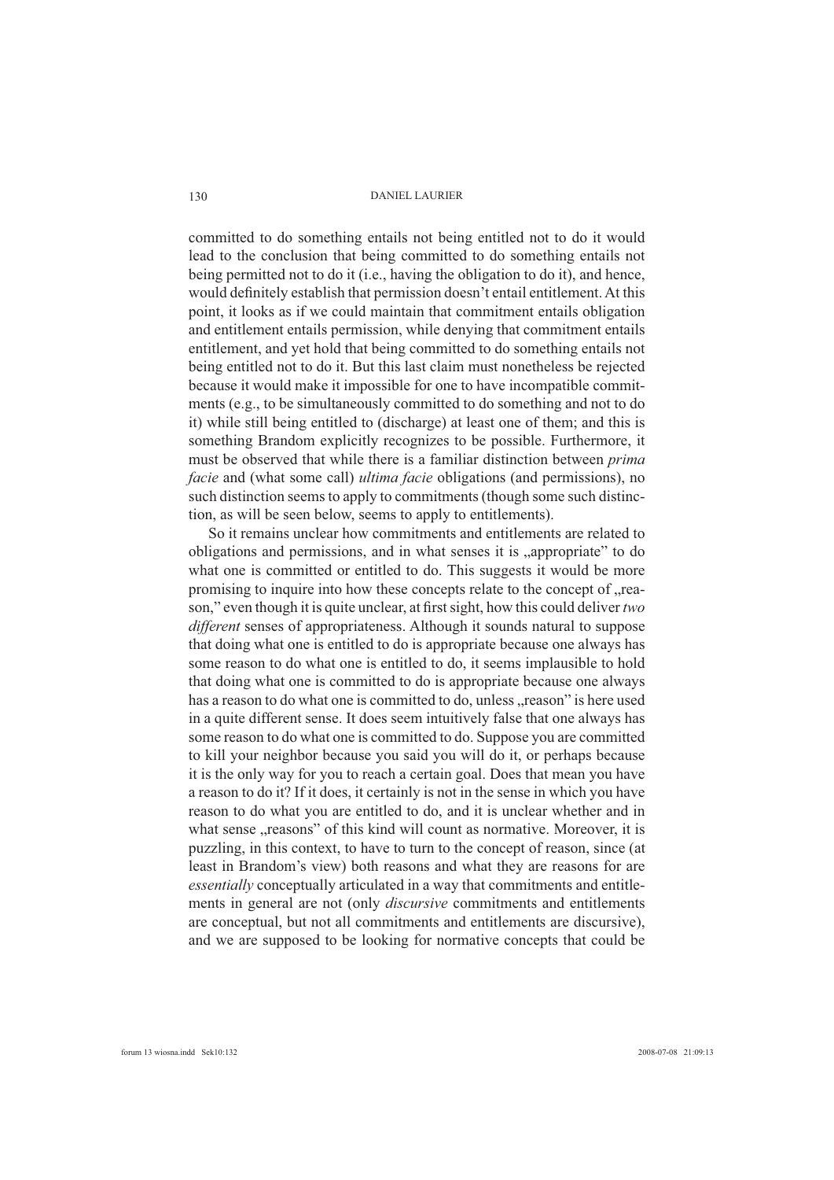committed to do something entails not being entitled not to do it would lead to the conclusion that being committed to do something entails not being permitted not to do it (i.e., having the obligation to do it), and hence, would definitely establish that permission doesn't entail entitlement. At this point, it looks as if we could maintain that commitment entails obligation and entitlement entails permission, while denying that commitment entails entitlement, and yet hold that being committed to do something entails not being entitled not to do it. But this last claim must nonetheless be rejected because it would make it impossible for one to have incompatible commitments (e.g., to be simultaneously committed to do something and not to do it) while still being entitled to (discharge) at least one of them; and this is something Brandom explicitly recognizes to be possible. Furthermore, it must be observed that while there is a familiar distinction between *prima facie* and (what some call) *ultima facie* obligations (and permissions), no such distinction seems to apply to commitments (though some such distinction, as will be seen below, seems to apply to entitlements).

So it remains unclear how commitments and entitlements are related to obligations and permissions, and in what senses it is "appropriate" to do what one is committed or entitled to do. This suggests it would be more promising to inquire into how these concepts relate to the concept of "reason," even though it is quite unclear, at first sight, how this could deliver *two different* senses of appropriateness. Although it sounds natural to suppose that doing what one is entitled to do is appropriate because one always has some reason to do what one is entitled to do, it seems implausible to hold that doing what one is committed to do is appropriate because one always has a reason to do what one is committed to do, unless "reason" is here used in a quite different sense. It does seem intuitively false that one always has some reason to do what one is committed to do. Suppose you are committed to kill your neighbor because you said you will do it, or perhaps because it is the only way for you to reach a certain goal. Does that mean you have a reason to do it? If it does, it certainly is not in the sense in which you have reason to do what you are entitled to do, and it is unclear whether and in what sense "reasons" of this kind will count as normative. Moreover, it is puzzling, in this context, to have to turn to the concept of reason, since (at least in Brandom's view) both reasons and what they are reasons for are *essentially* conceptually articulated in a way that commitments and entitlements in general are not (only *discursive* commitments and entitlements are conceptual, but not all commitments and entitlements are discursive), and we are supposed to be looking for normative concepts that could be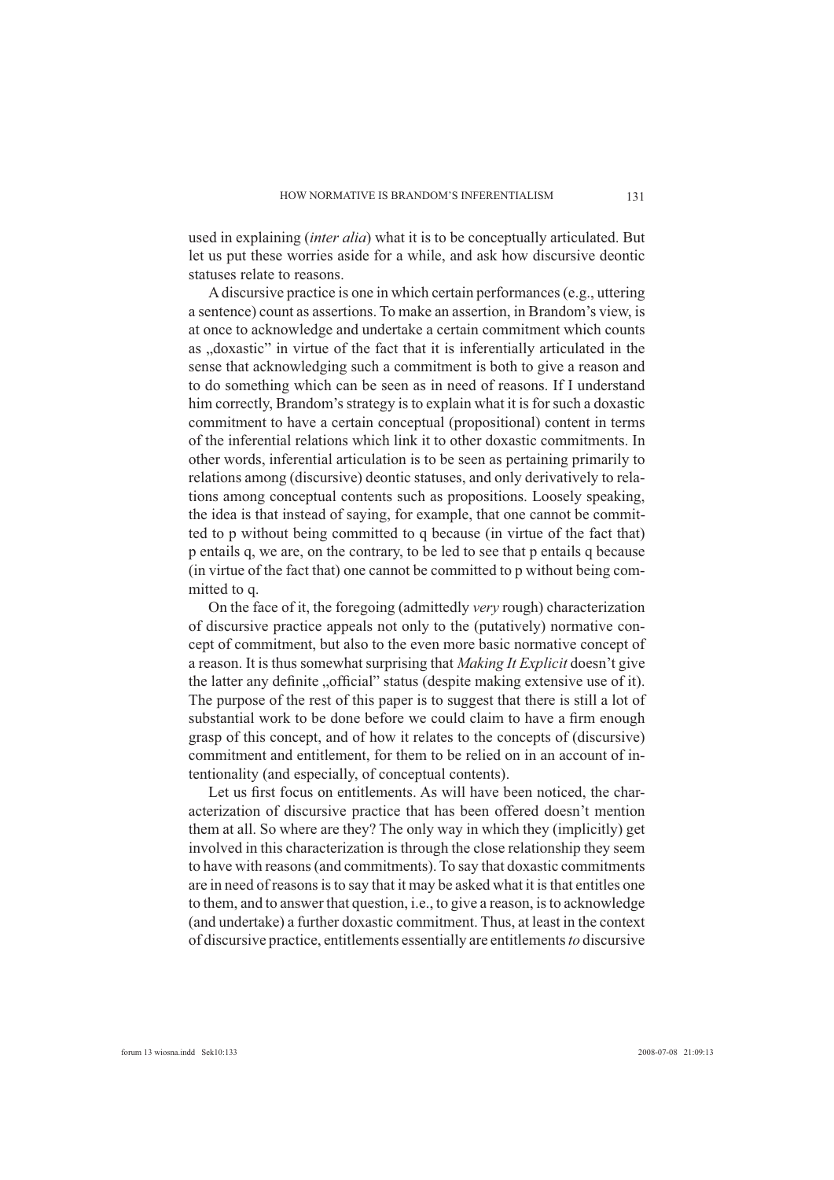used in explaining (*inter alia*) what it is to be conceptually articulated. But let us put these worries aside for a while, and ask how discursive deontic statuses relate to reasons.

A discursive practice is one in which certain performances (e.g., uttering a sentence) count as assertions. To make an assertion, in Brandom's view, is at once to acknowledge and undertake a certain commitment which counts as "doxastic" in virtue of the fact that it is inferentially articulated in the sense that acknowledging such a commitment is both to give a reason and to do something which can be seen as in need of reasons. If I understand him correctly, Brandom's strategy is to explain what it is for such a doxastic commitment to have a certain conceptual (propositional) content in terms of the inferential relations which link it to other doxastic commitments. In other words, inferential articulation is to be seen as pertaining primarily to relations among (discursive) deontic statuses, and only derivatively to relations among conceptual contents such as propositions. Loosely speaking, the idea is that instead of saying, for example, that one cannot be committed to p without being committed to q because (in virtue of the fact that) p entails q, we are, on the contrary, to be led to see that p entails q because (in virtue of the fact that) one cannot be committed to p without being committed to q.

On the face of it, the foregoing (admittedly *very* rough) characterization of discursive practice appeals not only to the (putatively) normative concept of commitment, but also to the even more basic normative concept of a reason. It is thus somewhat surprising that *Making It Explicit* doesn't give the latter any definite "official" status (despite making extensive use of it). The purpose of the rest of this paper is to suggest that there is still a lot of substantial work to be done before we could claim to have a firm enough grasp of this concept, and of how it relates to the concepts of (discursive) commitment and entitlement, for them to be relied on in an account of intentionality (and especially, of conceptual contents).

Let us first focus on entitlements. As will have been noticed, the characterization of discursive practice that has been offered doesn't mention them at all. So where are they? The only way in which they (implicitly) get involved in this characterization is through the close relationship they seem to have with reasons (and commitments). To say that doxastic commitments are in need of reasons is to say that it may be asked what it is that entitles one to them, and to answer that question, i.e., to give a reason, is to acknowledge (and undertake) a further doxastic commitment. Thus, at least in the context of discursive practice, entitlements essentially are entitlements *to* discursive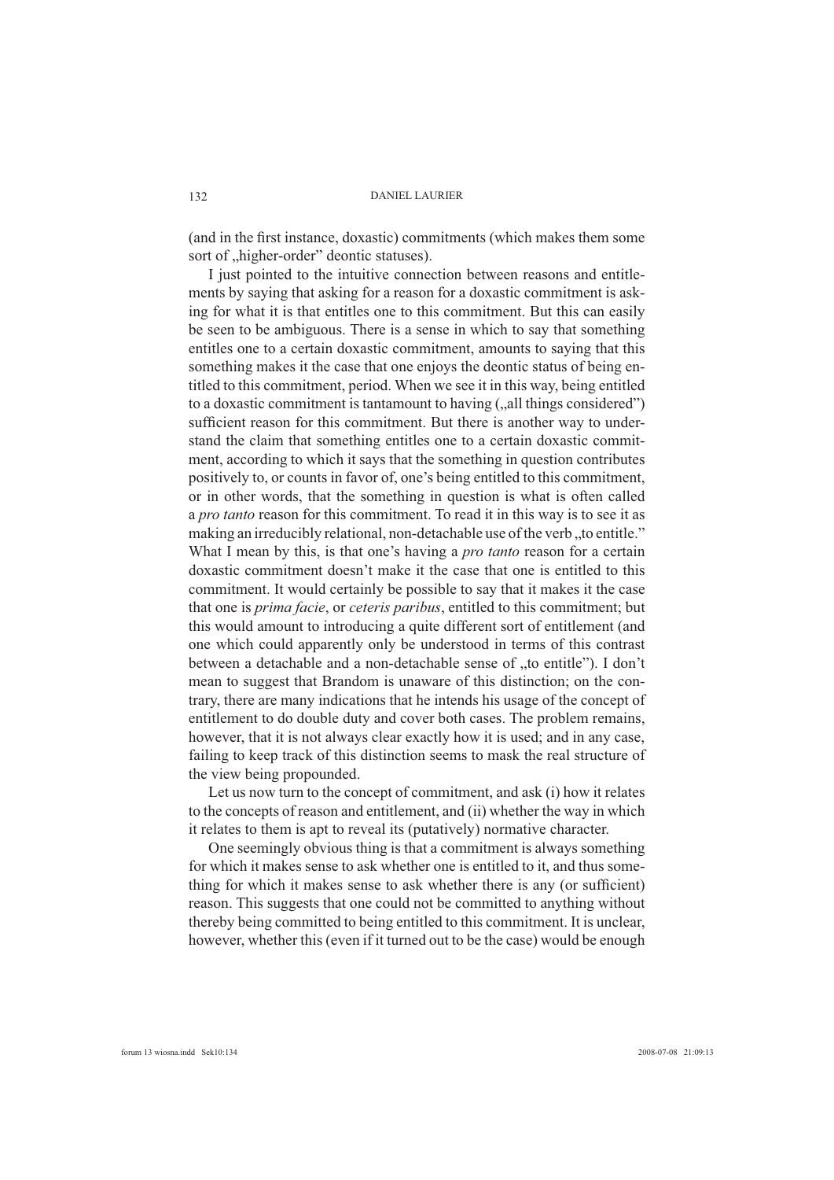(and in the first instance, doxastic) commitments (which makes them some sort of "higher-order" deontic statuses).

I just pointed to the intuitive connection between reasons and entitlements by saying that asking for a reason for a doxastic commitment is asking for what it is that entitles one to this commitment. But this can easily be seen to be ambiguous. There is a sense in which to say that something entitles one to a certain doxastic commitment, amounts to saying that this something makes it the case that one enjoys the deontic status of being entitled to this commitment, period. When we see it in this way, being entitled to a doxastic commitment is tantamount to having (,, all things considered") sufficient reason for this commitment. But there is another way to understand the claim that something entitles one to a certain doxastic commitment, according to which it says that the something in question contributes positively to, or counts in favor of, one's being entitled to this commitment, or in other words, that the something in question is what is often called a *pro tanto* reason for this commitment. To read it in this way is to see it as making an irreducibly relational, non-detachable use of the verb, to entitle." What I mean by this, is that one's having a *pro tanto* reason for a certain doxastic commitment doesn't make it the case that one is entitled to this commitment. It would certainly be possible to say that it makes it the case that one is *prima facie*, or *ceteris paribus*, entitled to this commitment; but this would amount to introducing a quite different sort of entitlement (and one which could apparently only be understood in terms of this contrast between a detachable and a non-detachable sense of "to entitle"). I don't mean to suggest that Brandom is unaware of this distinction; on the contrary, there are many indications that he intends his usage of the concept of entitlement to do double duty and cover both cases. The problem remains, however, that it is not always clear exactly how it is used; and in any case, failing to keep track of this distinction seems to mask the real structure of the view being propounded.

Let us now turn to the concept of commitment, and ask (i) how it relates to the concepts of reason and entitlement, and (ii) whether the way in which it relates to them is apt to reveal its (putatively) normative character.

One seemingly obvious thing is that a commitment is always something for which it makes sense to ask whether one is entitled to it, and thus something for which it makes sense to ask whether there is any (or sufficient) reason. This suggests that one could not be committed to anything without thereby being committed to being entitled to this commitment. It is unclear, however, whether this (even if it turned out to be the case) would be enough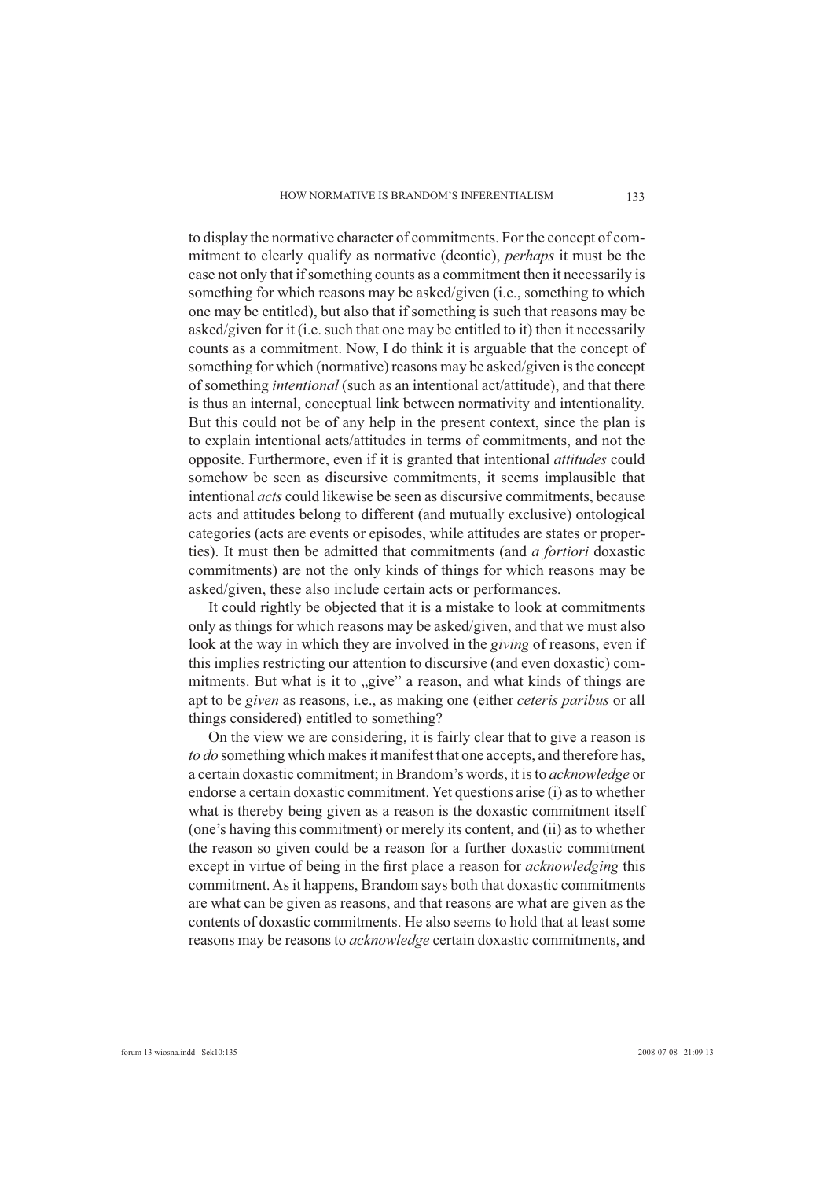to display the normative character of commitments. For the concept of commitment to clearly qualify as normative (deontic), *perhaps* it must be the case not only that if something counts as a commitment then it necessarily is something for which reasons may be asked/given (i.e., something to which one may be entitled), but also that if something is such that reasons may be asked/given for it (i.e. such that one may be entitled to it) then it necessarily counts as a commitment. Now, I do think it is arguable that the concept of something for which (normative) reasons may be asked/given is the concept of something *intentional* (such as an intentional act/attitude), and that there is thus an internal, conceptual link between normativity and intentionality. But this could not be of any help in the present context, since the plan is to explain intentional acts/attitudes in terms of commitments, and not the opposite. Furthermore, even if it is granted that intentional *attitudes* could somehow be seen as discursive commitments, it seems implausible that intentional *acts* could likewise be seen as discursive commitments, because acts and attitudes belong to different (and mutually exclusive) ontological categories (acts are events or episodes, while attitudes are states or properties). It must then be admitted that commitments (and *a fortiori* doxastic commitments) are not the only kinds of things for which reasons may be asked/given, these also include certain acts or performances.

It could rightly be objected that it is a mistake to look at commitments only as things for which reasons may be asked/given, and that we must also look at the way in which they are involved in the *giving* of reasons, even if this implies restricting our attention to discursive (and even doxastic) commitments. But what is it to "give" a reason, and what kinds of things are apt to be *given* as reasons, i.e., as making one (either *ceteris paribus* or all things considered) entitled to something?

On the view we are considering, it is fairly clear that to give a reason is *to do* something which makes it manifest that one accepts, and therefore has, a certain doxastic commitment; in Brandom's words, it is to *acknowledge* or endorse a certain doxastic commitment. Yet questions arise (i) as to whether what is thereby being given as a reason is the doxastic commitment itself (one's having this commitment) or merely its content, and (ii) as to whether the reason so given could be a reason for a further doxastic commitment except in virtue of being in the first place a reason for *acknowledging* this commitment. As it happens, Brandom says both that doxastic commitments are what can be given as reasons, and that reasons are what are given as the contents of doxastic commitments. He also seems to hold that at least some reasons may be reasons to *acknowledge* certain doxastic commitments, and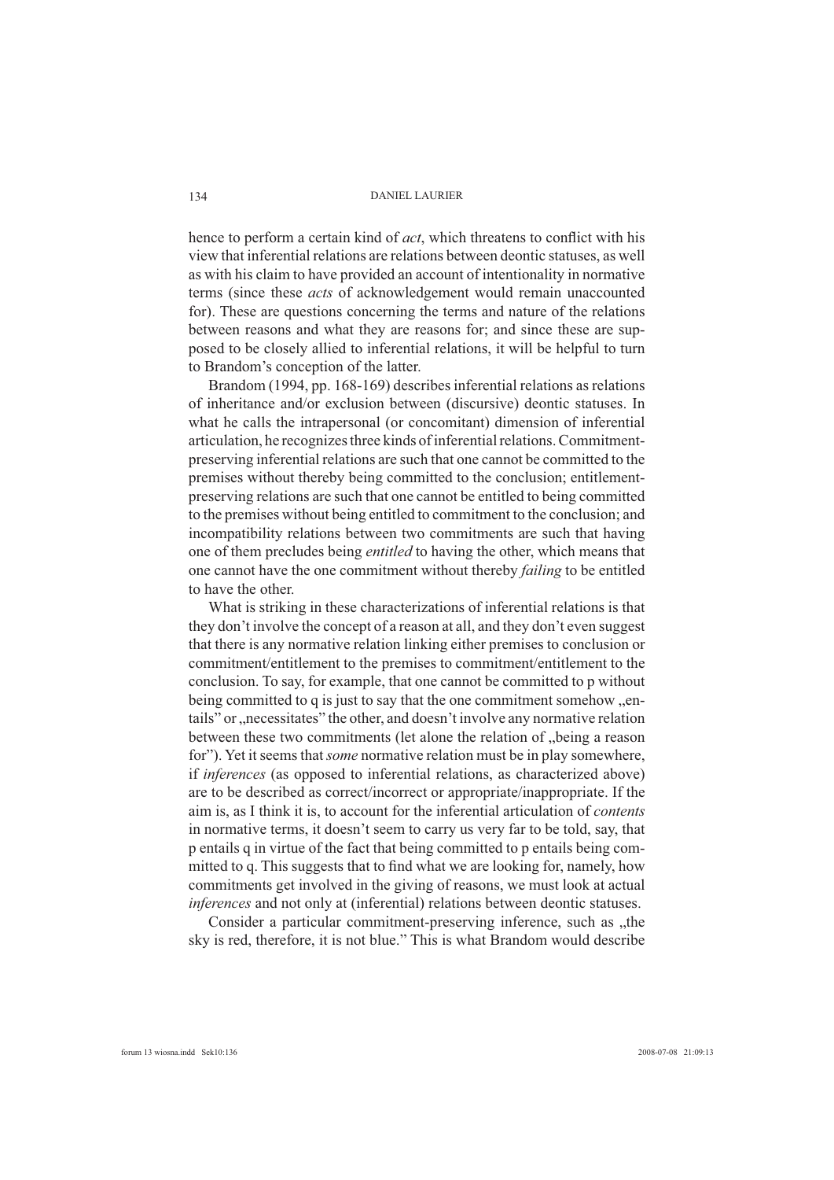hence to perform a certain kind of *act*, which threatens to conflict with his view that inferential relations are relations between deontic statuses, as well as with his claim to have provided an account of intentionality in normative terms (since these *acts* of acknowledgement would remain unaccounted for). These are questions concerning the terms and nature of the relations between reasons and what they are reasons for; and since these are supposed to be closely allied to inferential relations, it will be helpful to turn to Brandom's conception of the latter.

Brandom (1994, pp. 168-169) describes inferential relations as relations of inheritance and/or exclusion between (discursive) deontic statuses. In what he calls the intrapersonal (or concomitant) dimension of inferential articulation, he recognizes three kinds of inferential relations. Commitmentpreserving inferential relations are such that one cannot be committed to the premises without thereby being committed to the conclusion; entitlementpreserving relations are such that one cannot be entitled to being committed to the premises without being entitled to commitment to the conclusion; and incompatibility relations between two commitments are such that having one of them precludes being *entitled* to having the other, which means that one cannot have the one commitment without thereby *failing* to be entitled to have the other.

What is striking in these characterizations of inferential relations is that they don't involve the concept of a reason at all, and they don't even suggest that there is any normative relation linking either premises to conclusion or commitment/entitlement to the premises to commitment/entitlement to the conclusion. To say, for example, that one cannot be committed to p without being committed to q is just to say that the one commitment somehow ..entails" or "necessitates" the other, and doesn't involve any normative relation between these two commitments (let alone the relation of "being a reason for"). Yet it seems that *some* normative relation must be in play somewhere, if *inferences* (as opposed to inferential relations, as characterized above) are to be described as correct/incorrect or appropriate/inappropriate. If the aim is, as I think it is, to account for the inferential articulation of *contents* in normative terms, it doesn't seem to carry us very far to be told, say, that p entails q in virtue of the fact that being committed to p entails being committed to q. This suggests that to find what we are looking for, namely, how commitments get involved in the giving of reasons, we must look at actual *inferences* and not only at (inferential) relations between deontic statuses.

Consider a particular commitment-preserving inference, such as "the sky is red, therefore, it is not blue." This is what Brandom would describe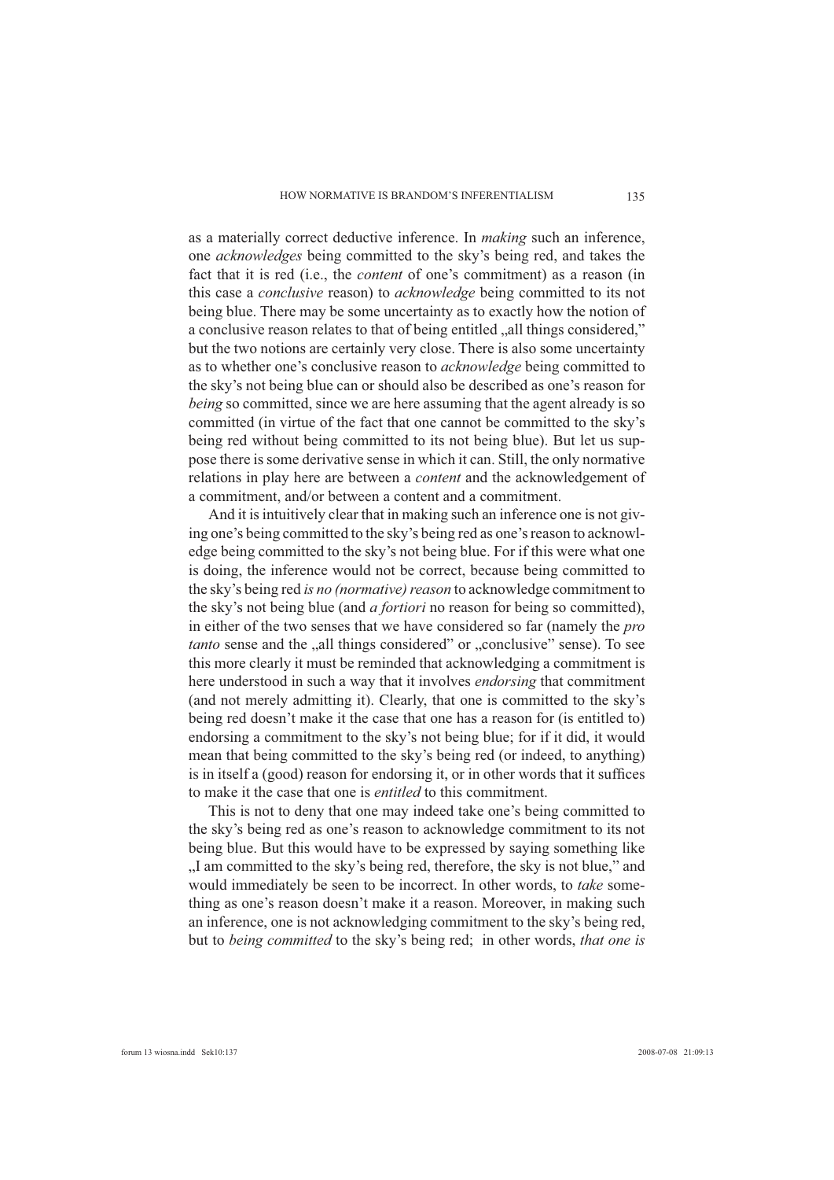as a materially correct deductive inference. In *making* such an inference, one *acknowledges* being committed to the sky's being red, and takes the fact that it is red (i.e., the *content* of one's commitment) as a reason (in this case a *conclusive* reason) to *acknowledge* being committed to its not being blue. There may be some uncertainty as to exactly how the notion of a conclusive reason relates to that of being entitled "all things considered," but the two notions are certainly very close. There is also some uncertainty as to whether one's conclusive reason to *acknowledge* being committed to the sky's not being blue can or should also be described as one's reason for *being* so committed, since we are here assuming that the agent already is so committed (in virtue of the fact that one cannot be committed to the sky's being red without being committed to its not being blue). But let us suppose there is some derivative sense in which it can. Still, the only normative relations in play here are between a *content* and the acknowledgement of a commitment, and/or between a content and a commitment.

And it is intuitively clear that in making such an inference one is not giving one's being committed to the sky's being red as one's reason to acknowledge being committed to the sky's not being blue. For if this were what one is doing, the inference would not be correct, because being committed to the sky's being red *is no (normative) reason* to acknowledge commitment to the sky's not being blue (and *a fortiori* no reason for being so committed), in either of the two senses that we have considered so far (namely the *pro tanto* sense and the "all things considered" or "conclusive" sense). To see this more clearly it must be reminded that acknowledging a commitment is here understood in such a way that it involves *endorsing* that commitment (and not merely admitting it). Clearly, that one is committed to the sky's being red doesn't make it the case that one has a reason for (is entitled to) endorsing a commitment to the sky's not being blue; for if it did, it would mean that being committed to the sky's being red (or indeed, to anything) is in itself a (good) reason for endorsing it, or in other words that it suffices to make it the case that one is *entitled* to this commitment.

This is not to deny that one may indeed take one's being committed to the sky's being red as one's reason to acknowledge commitment to its not being blue. But this would have to be expressed by saying something like I am committed to the sky's being red, therefore, the sky is not blue," and would immediately be seen to be incorrect. In other words, to *take* something as one's reason doesn't make it a reason. Moreover, in making such an inference, one is not acknowledging commitment to the sky's being red, but to *being committed* to the sky's being red; in other words, *that one is*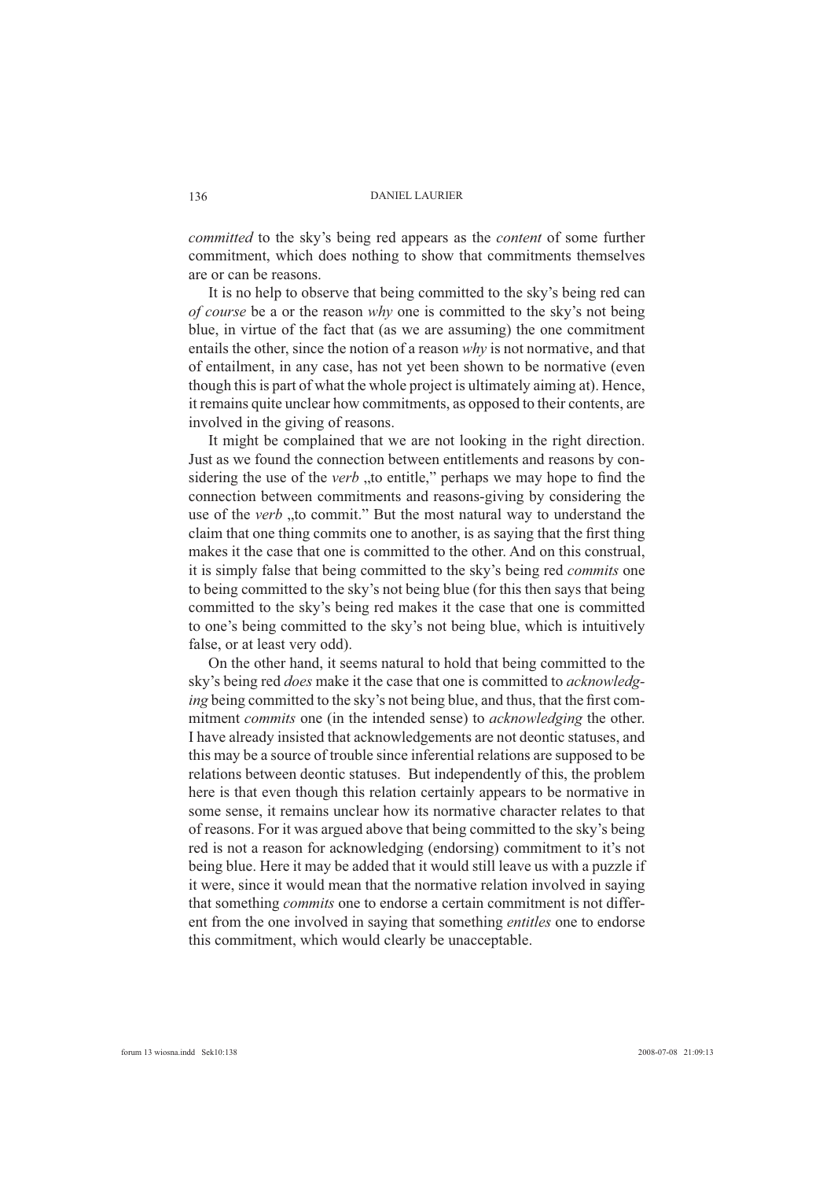*committed* to the sky's being red appears as the *content* of some further commitment, which does nothing to show that commitments themselves are or can be reasons.

It is no help to observe that being committed to the sky's being red can *of course* be a or the reason *why* one is committed to the sky's not being blue, in virtue of the fact that (as we are assuming) the one commitment entails the other, since the notion of a reason *why* is not normative, and that of entailment, in any case, has not yet been shown to be normative (even though this is part of what the whole project is ultimately aiming at). Hence, it remains quite unclear how commitments, as opposed to their contents, are involved in the giving of reasons.

It might be complained that we are not looking in the right direction. Just as we found the connection between entitlements and reasons by considering the use of the *verb* "to entitle," perhaps we may hope to find the connection between commitments and reasons-giving by considering the use of the *verb* "to commit." But the most natural way to understand the claim that one thing commits one to another, is as saying that the first thing makes it the case that one is committed to the other. And on this construal, it is simply false that being committed to the sky's being red *commits* one to being committed to the sky's not being blue (for this then says that being committed to the sky's being red makes it the case that one is committed to one's being committed to the sky's not being blue, which is intuitively false, or at least very odd).

On the other hand, it seems natural to hold that being committed to the sky's being red *does* make it the case that one is committed to *acknowledging* being committed to the sky's not being blue, and thus, that the first commitment *commits* one (in the intended sense) to *acknowledging* the other. I have already insisted that acknowledgements are not deontic statuses, and this may be a source of trouble since inferential relations are supposed to be relations between deontic statuses. But independently of this, the problem here is that even though this relation certainly appears to be normative in some sense, it remains unclear how its normative character relates to that of reasons. For it was argued above that being committed to the sky's being red is not a reason for acknowledging (endorsing) commitment to it's not being blue. Here it may be added that it would still leave us with a puzzle if it were, since it would mean that the normative relation involved in saying that something *commits* one to endorse a certain commitment is not different from the one involved in saying that something *entitles* one to endorse this commitment, which would clearly be unacceptable.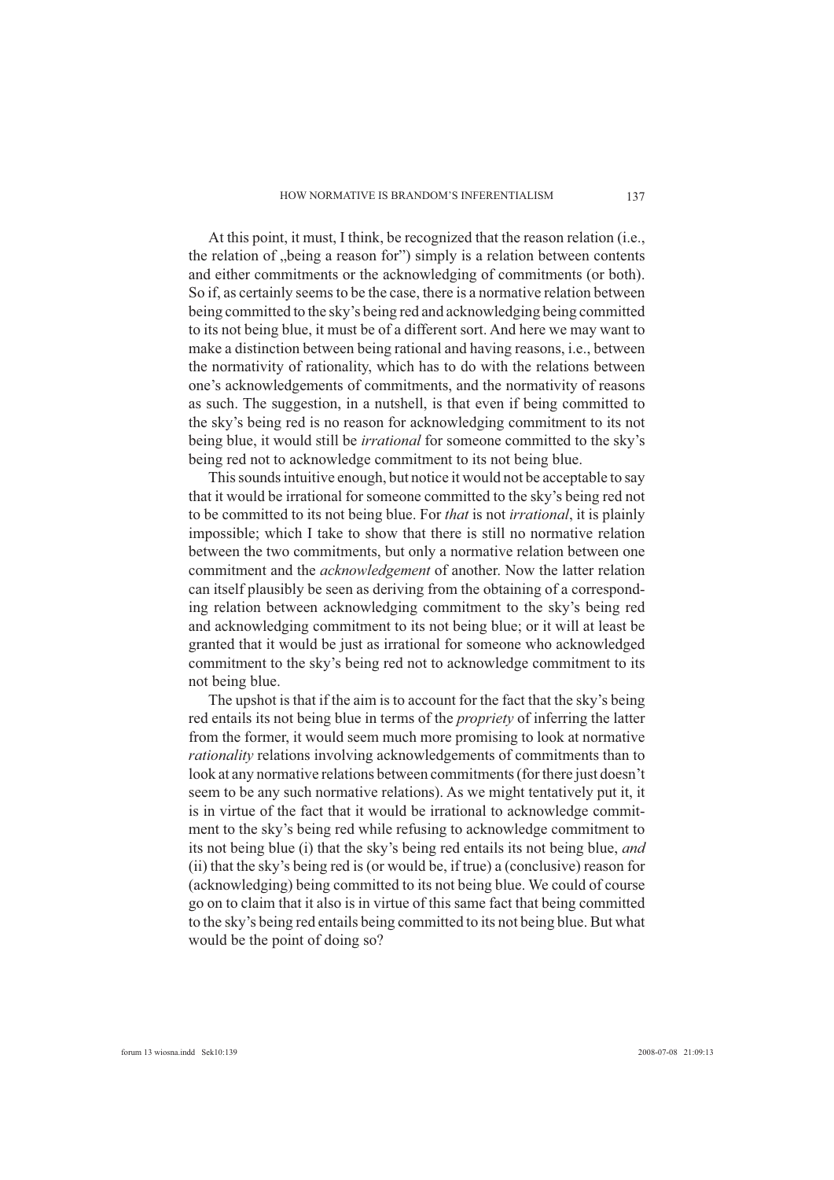At this point, it must, I think, be recognized that the reason relation (i.e., the relation of "being a reason for") simply is a relation between contents and either commitments or the acknowledging of commitments (or both). So if, as certainly seems to be the case, there is a normative relation between being committed to the sky's being red and acknowledging being committed to its not being blue, it must be of a different sort. And here we may want to make a distinction between being rational and having reasons, i.e., between the normativity of rationality, which has to do with the relations between one's acknowledgements of commitments, and the normativity of reasons as such. The suggestion, in a nutshell, is that even if being committed to the sky's being red is no reason for acknowledging commitment to its not being blue, it would still be *irrational* for someone committed to the sky's being red not to acknowledge commitment to its not being blue.

This sounds intuitive enough, but notice it would not be acceptable to say that it would be irrational for someone committed to the sky's being red not to be committed to its not being blue. For *that* is not *irrational*, it is plainly impossible; which I take to show that there is still no normative relation between the two commitments, but only a normative relation between one commitment and the *acknowledgement* of another. Now the latter relation can itself plausibly be seen as deriving from the obtaining of a corresponding relation between acknowledging commitment to the sky's being red and acknowledging commitment to its not being blue; or it will at least be granted that it would be just as irrational for someone who acknowledged commitment to the sky's being red not to acknowledge commitment to its not being blue.

The upshot is that if the aim is to account for the fact that the sky's being red entails its not being blue in terms of the *propriety* of inferring the latter from the former, it would seem much more promising to look at normative *rationality* relations involving acknowledgements of commitments than to look at any normative relations between commitments (for there just doesn't seem to be any such normative relations). As we might tentatively put it, it is in virtue of the fact that it would be irrational to acknowledge commitment to the sky's being red while refusing to acknowledge commitment to its not being blue (i) that the sky's being red entails its not being blue, *and* (ii) that the sky's being red is (or would be, if true) a (conclusive) reason for (acknowledging) being committed to its not being blue. We could of course go on to claim that it also is in virtue of this same fact that being committed to the sky's being red entails being committed to its not being blue. But what would be the point of doing so?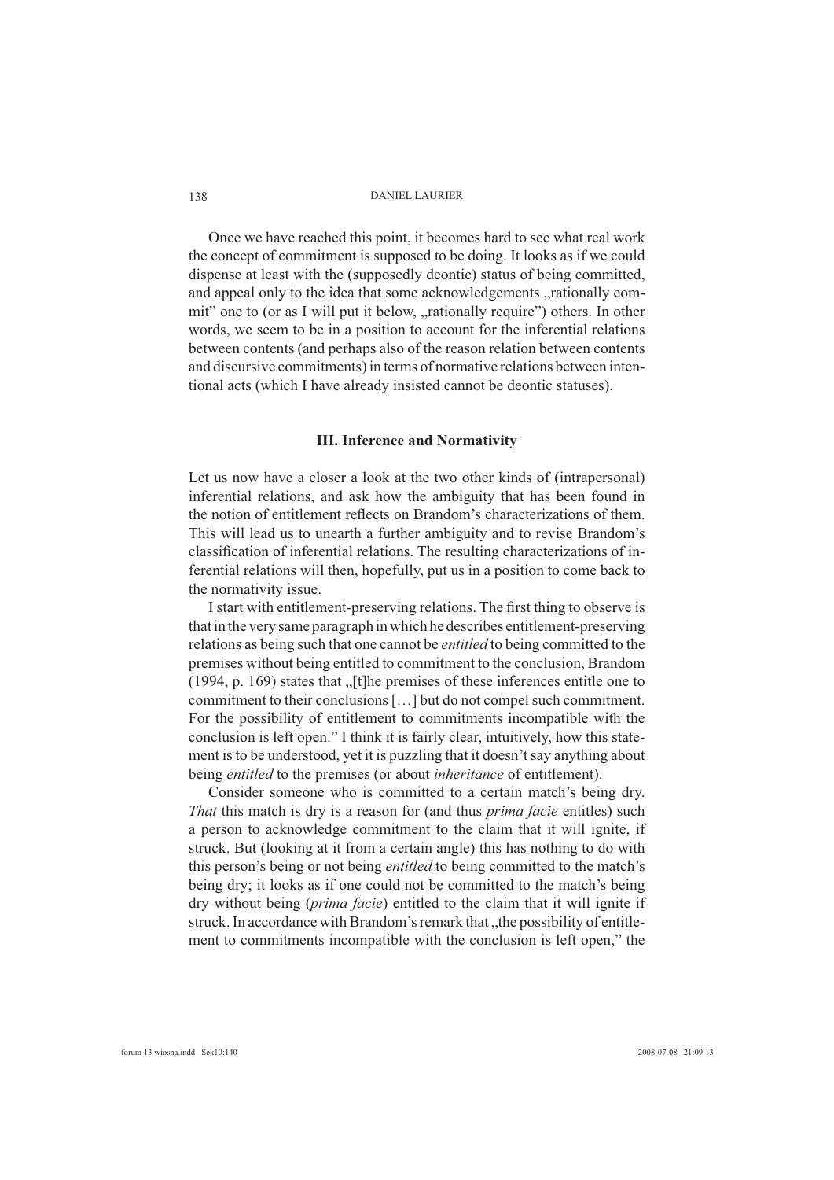Once we have reached this point, it becomes hard to see what real work the concept of commitment is supposed to be doing. It looks as if we could dispense at least with the (supposedly deontic) status of being committed, and appeal only to the idea that some acknowledgements "rationally commit" one to (or as I will put it below, "rationally require") others. In other words, we seem to be in a position to account for the inferential relations between contents (and perhaps also of the reason relation between contents and discursive commitments) in terms of normative relations between intentional acts (which I have already insisted cannot be deontic statuses).

## **III. Inference and Normativity**

Let us now have a closer a look at the two other kinds of (intrapersonal) inferential relations, and ask how the ambiguity that has been found in the notion of entitlement reflects on Brandom's characterizations of them. This will lead us to unearth a further ambiguity and to revise Brandom's classification of inferential relations. The resulting characterizations of inferential relations will then, hopefully, put us in a position to come back to the normativity issue.

I start with entitlement-preserving relations. The first thing to observe is that in the very same paragraph in which he describes entitlement-preserving relations as being such that one cannot be *entitled* to being committed to the premises without being entitled to commitment to the conclusion, Brandom (1994, p. 169) states that  $\sqrt{\frac{t}{\epsilon}}$  [t]he premises of these inferences entitle one to commitment to their conclusions […] but do not compel such commitment. For the possibility of entitlement to commitments incompatible with the conclusion is left open." I think it is fairly clear, intuitively, how this statement is to be understood, yet it is puzzling that it doesn't say anything about being *entitled* to the premises (or about *inheritance* of entitlement).

Consider someone who is committed to a certain match's being dry. *That* this match is dry is a reason for (and thus *prima facie* entitles) such a person to acknowledge commitment to the claim that it will ignite, if struck. But (looking at it from a certain angle) this has nothing to do with this person's being or not being *entitled* to being committed to the match's being dry; it looks as if one could not be committed to the match's being dry without being (*prima facie*) entitled to the claim that it will ignite if struck. In accordance with Brandom's remark that "the possibility of entitlement to commitments incompatible with the conclusion is left open," the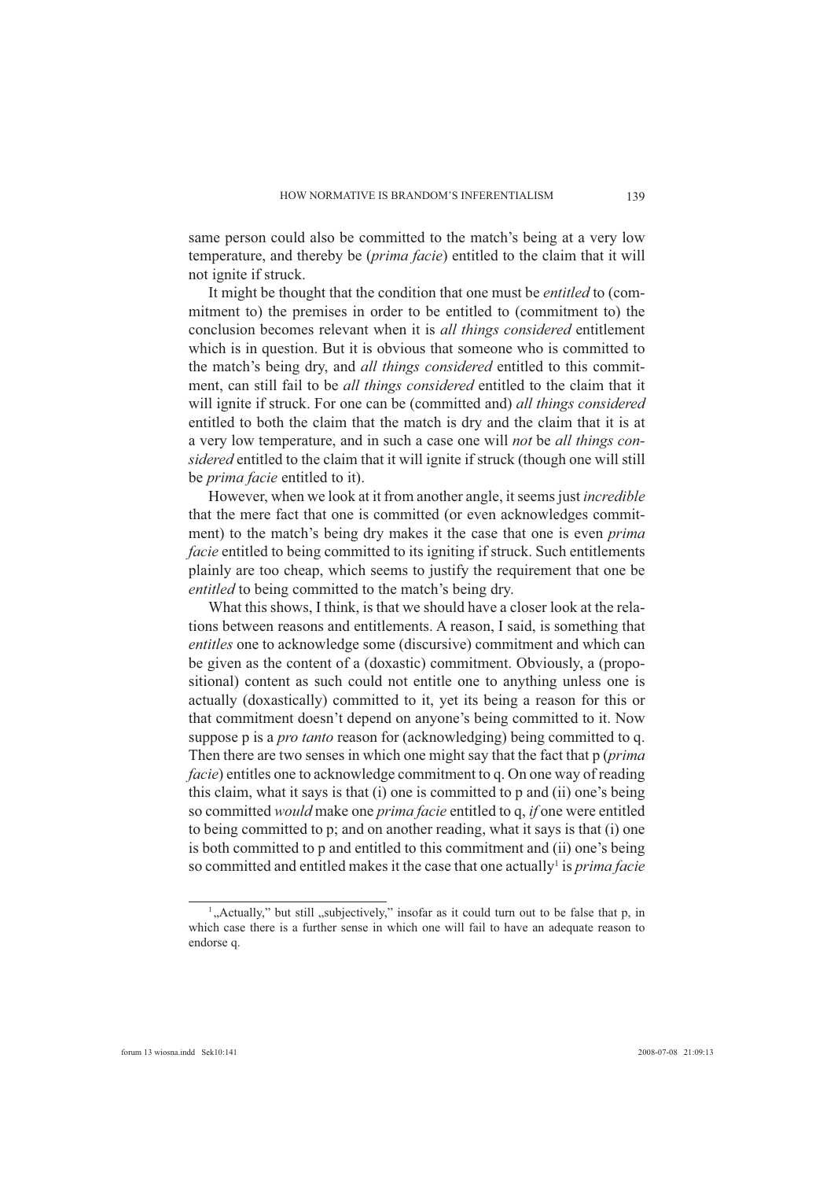same person could also be committed to the match's being at a very low temperature, and thereby be (*prima facie*) entitled to the claim that it will not ignite if struck.

It might be thought that the condition that one must be *entitled* to (commitment to) the premises in order to be entitled to (commitment to) the conclusion becomes relevant when it is *all things considered* entitlement which is in question. But it is obvious that someone who is committed to the match's being dry, and *all things considered* entitled to this commitment, can still fail to be *all things considered* entitled to the claim that it will ignite if struck. For one can be (committed and) *all things considered* entitled to both the claim that the match is dry and the claim that it is at a very low temperature, and in such a case one will *not* be *all things considered* entitled to the claim that it will ignite if struck (though one will still be *prima facie* entitled to it).

However, when we look at it from another angle, it seems just *incredible* that the mere fact that one is committed (or even acknowledges commitment) to the match's being dry makes it the case that one is even *prima facie* entitled to being committed to its igniting if struck. Such entitlements plainly are too cheap, which seems to justify the requirement that one be *entitled* to being committed to the match's being dry.

What this shows, I think, is that we should have a closer look at the relations between reasons and entitlements. A reason, I said, is something that *entitles* one to acknowledge some (discursive) commitment and which can be given as the content of a (doxastic) commitment. Obviously, a (propositional) content as such could not entitle one to anything unless one is actually (doxastically) committed to it, yet its being a reason for this or that commitment doesn't depend on anyone's being committed to it. Now suppose p is a *pro tanto* reason for (acknowledging) being committed to q. Then there are two senses in which one might say that the fact that p (*prima facie*) entitles one to acknowledge commitment to q. On one way of reading this claim, what it says is that (i) one is committed to p and (ii) one's being so committed *would* make one *prima facie* entitled to q, *if* one were entitled to being committed to p; and on another reading, what it says is that (i) one is both committed to p and entitled to this commitment and (ii) one's being so committed and entitled makes it the case that one actually<sup>1</sup> is *prima facie* 

<sup>&</sup>lt;sup>1</sup>, Actually," but still , subjectively," insofar as it could turn out to be false that p, in which case there is a further sense in which one will fail to have an adequate reason to endorse q.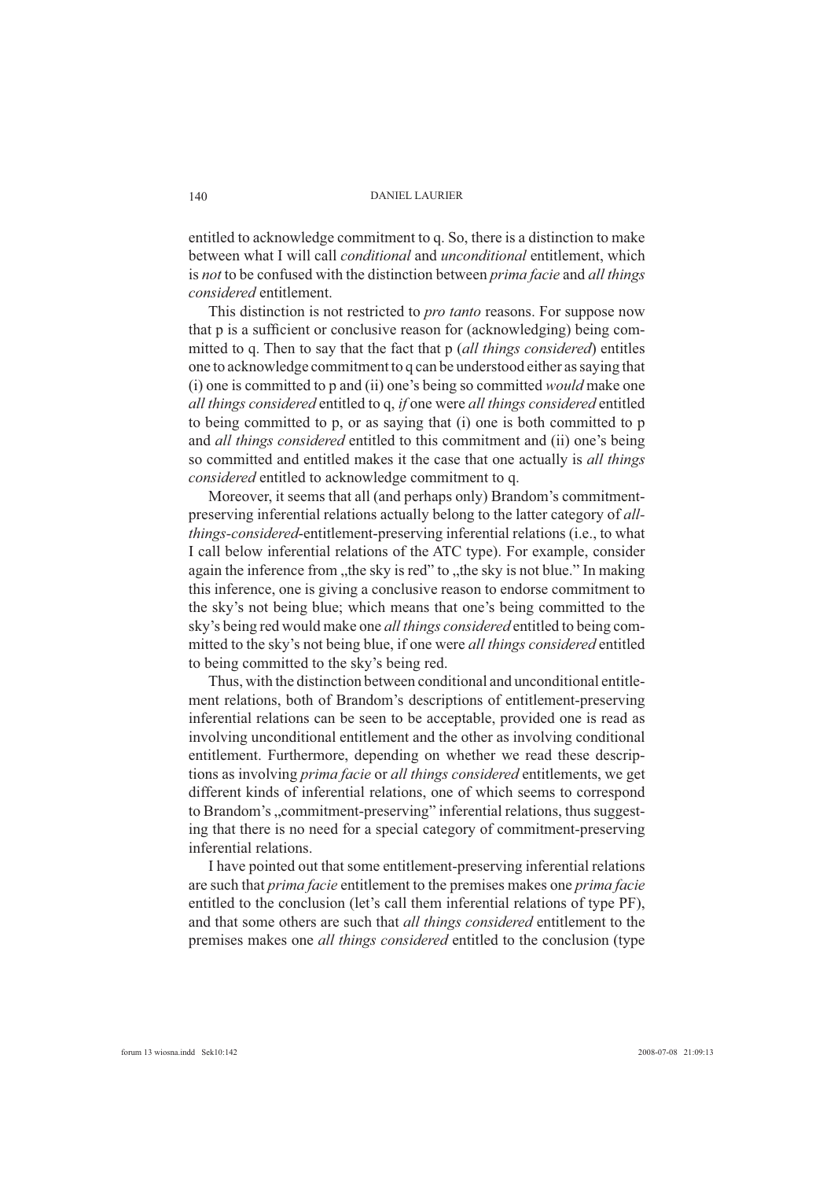entitled to acknowledge commitment to q. So, there is a distinction to make between what I will call *conditional* and *unconditional* entitlement, which is *not* to be confused with the distinction between *prima facie* and *all things considered* entitlement.

This distinction is not restricted to *pro tanto* reasons. For suppose now that p is a sufficient or conclusive reason for (acknowledging) being committed to q. Then to say that the fact that p (*all things considered*) entitles one to acknowledge commitment to q can be understood either as saying that (i) one is committed to p and (ii) one's being so committed *would* make one *all things considered* entitled to q, *if* one were *all things considered* entitled to being committed to p, or as saying that (i) one is both committed to p and *all things considered* entitled to this commitment and (ii) one's being so committed and entitled makes it the case that one actually is *all things considered* entitled to acknowledge commitment to q.

Moreover, it seems that all (and perhaps only) Brandom's commitmentpreserving inferential relations actually belong to the latter category of *allthings-considered*-entitlement-preserving inferential relations (i.e., to what I call below inferential relations of the ATC type). For example, consider again the inference from "the sky is red" to "the sky is not blue." In making this inference, one is giving a conclusive reason to endorse commitment to the sky's not being blue; which means that one's being committed to the sky's being red would make one *all things considered* entitled to being committed to the sky's not being blue, if one were *all things considered* entitled to being committed to the sky's being red.

Thus, with the distinction between conditional and unconditional entitlement relations, both of Brandom's descriptions of entitlement-preserving inferential relations can be seen to be acceptable, provided one is read as involving unconditional entitlement and the other as involving conditional entitlement. Furthermore, depending on whether we read these descriptions as involving *prima facie* or *all things considered* entitlements, we get different kinds of inferential relations, one of which seems to correspond to Brandom's "commitment-preserving" inferential relations, thus suggesting that there is no need for a special category of commitment-preserving inferential relations.

I have pointed out that some entitlement-preserving inferential relations are such that *prima facie* entitlement to the premises makes one *prima facie* entitled to the conclusion (let's call them inferential relations of type PF), and that some others are such that *all things considered* entitlement to the premises makes one *all things considered* entitled to the conclusion (type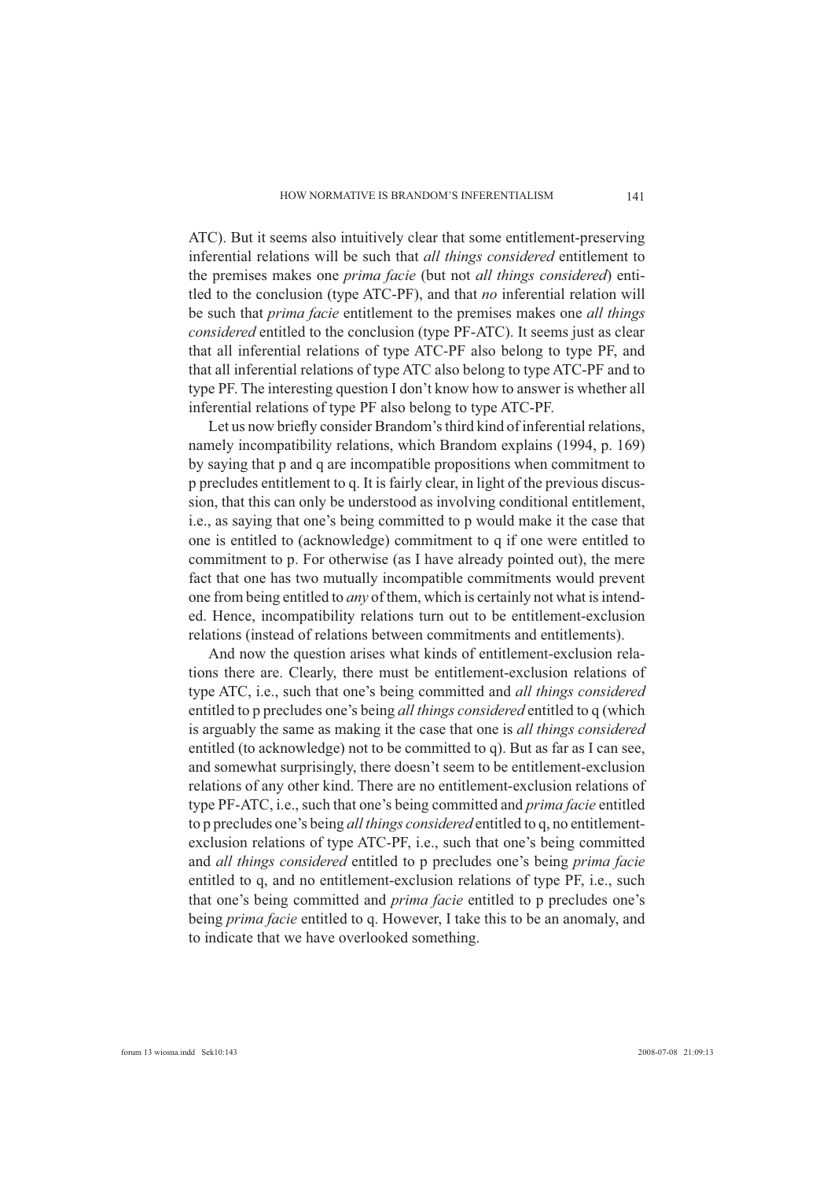ATC). But it seems also intuitively clear that some entitlement-preserving inferential relations will be such that *all things considered* entitlement to the premises makes one *prima facie* (but not *all things considered*) entitled to the conclusion (type ATC-PF), and that *no* inferential relation will be such that *prima facie* entitlement to the premises makes one *all things considered* entitled to the conclusion (type PF-ATC). It seems just as clear that all inferential relations of type ATC-PF also belong to type PF, and that all inferential relations of type ATC also belong to type ATC-PF and to type PF. The interesting question I don't know how to answer is whether all inferential relations of type PF also belong to type ATC-PF.

Let us now briefly consider Brandom's third kind of inferential relations, namely incompatibility relations, which Brandom explains (1994, p. 169) by saying that p and q are incompatible propositions when commitment to p precludes entitlement to q. It is fairly clear, in light of the previous discussion, that this can only be understood as involving conditional entitlement, i.e., as saying that one's being committed to p would make it the case that one is entitled to (acknowledge) commitment to q if one were entitled to commitment to p. For otherwise (as I have already pointed out), the mere fact that one has two mutually incompatible commitments would prevent one from being entitled to *any* of them, which is certainly not what is intended. Hence, incompatibility relations turn out to be entitlement-exclusion relations (instead of relations between commitments and entitlements).

And now the question arises what kinds of entitlement-exclusion relations there are. Clearly, there must be entitlement-exclusion relations of type ATC, i.e., such that one's being committed and *all things considered*  entitled to p precludes one's being *all things considered* entitled to q (which is arguably the same as making it the case that one is *all things considered* entitled (to acknowledge) not to be committed to q). But as far as I can see, and somewhat surprisingly, there doesn't seem to be entitlement-exclusion relations of any other kind. There are no entitlement-exclusion relations of type PF-ATC, i.e., such that one's being committed and *prima facie* entitled to p precludes one's being *all things considered* entitled to q, no entitlementexclusion relations of type ATC-PF, i.e., such that one's being committed and *all things considered* entitled to p precludes one's being *prima facie* entitled to q, and no entitlement-exclusion relations of type PF, i.e., such that one's being committed and *prima facie* entitled to p precludes one's being *prima facie* entitled to q. However, I take this to be an anomaly, and to indicate that we have overlooked something.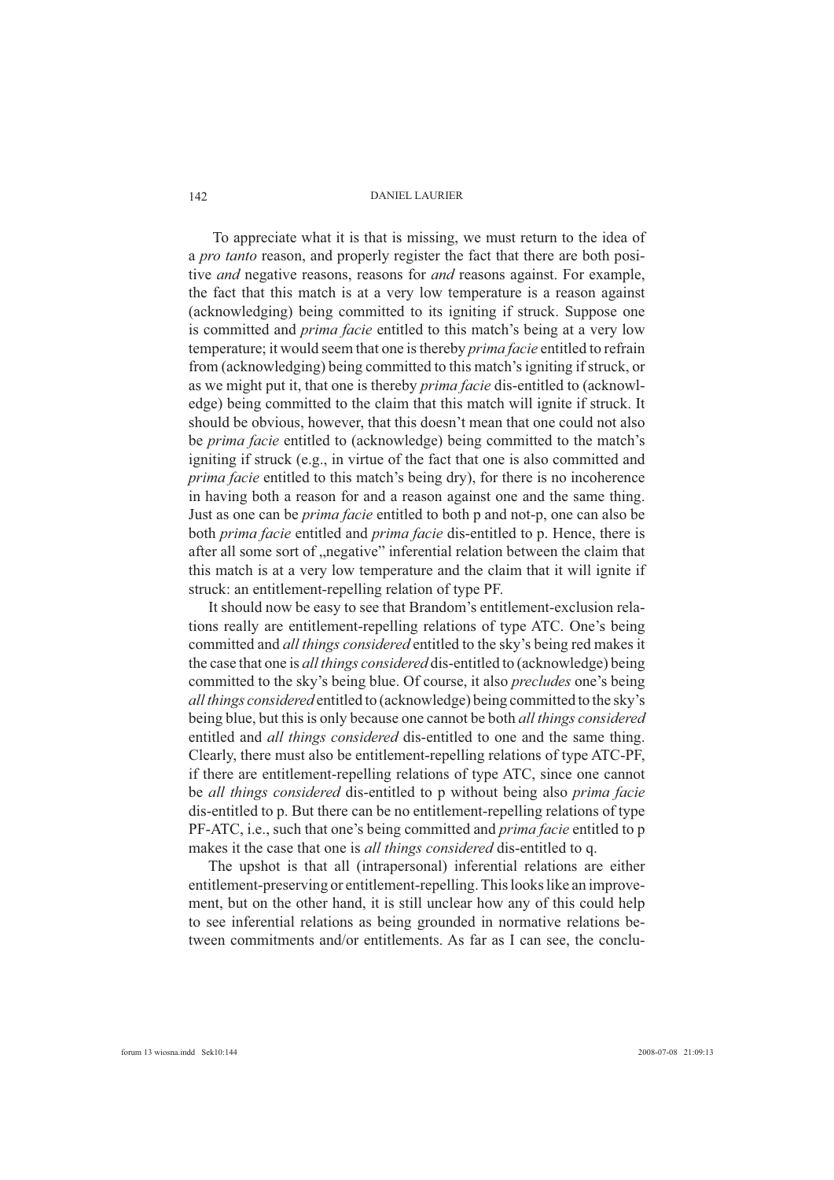To appreciate what it is that is missing, we must return to the idea of a *pro tanto* reason, and properly register the fact that there are both positive *and* negative reasons, reasons for *and* reasons against. For example, the fact that this match is at a very low temperature is a reason against (acknowledging) being committed to its igniting if struck. Suppose one is committed and *prima facie* entitled to this match's being at a very low temperature; it would seem that one is thereby *prima facie* entitled to refrain from (acknowledging) being committed to this match's igniting if struck, or as we might put it, that one is thereby *prima facie* dis-entitled to (acknowledge) being committed to the claim that this match will ignite if struck. It should be obvious, however, that this doesn't mean that one could not also be *prima facie* entitled to (acknowledge) being committed to the match's igniting if struck (e.g., in virtue of the fact that one is also committed and *prima facie* entitled to this match's being dry), for there is no incoherence in having both a reason for and a reason against one and the same thing. Just as one can be *prima facie* entitled to both p and not-p, one can also be both *prima facie* entitled and *prima facie* dis-entitled to p. Hence, there is after all some sort of "negative" inferential relation between the claim that this match is at a very low temperature and the claim that it will ignite if struck: an entitlement-repelling relation of type PF.

It should now be easy to see that Brandom's entitlement-exclusion relations really are entitlement-repelling relations of type ATC. One's being committed and *all things considered* entitled to the sky's being red makes it the case that one is *all things considered* dis-entitled to (acknowledge) being committed to the sky's being blue. Of course, it also *precludes* one's being *all things considered* entitled to (acknowledge) being committed to the sky's being blue, but this is only because one cannot be both *all things considered* entitled and *all things considered* dis-entitled to one and the same thing. Clearly, there must also be entitlement-repelling relations of type ATC-PF, if there are entitlement-repelling relations of type ATC, since one cannot be *all things considered* dis-entitled to p without being also *prima facie* dis-entitled to p. But there can be no entitlement-repelling relations of type PF-ATC, i.e., such that one's being committed and *prima facie* entitled to p makes it the case that one is *all things considered* dis-entitled to q.

The upshot is that all (intrapersonal) inferential relations are either entitlement-preserving or entitlement-repelling. This looks like an improvement, but on the other hand, it is still unclear how any of this could help to see inferential relations as being grounded in normative relations between commitments and/or entitlements. As far as I can see, the conclu-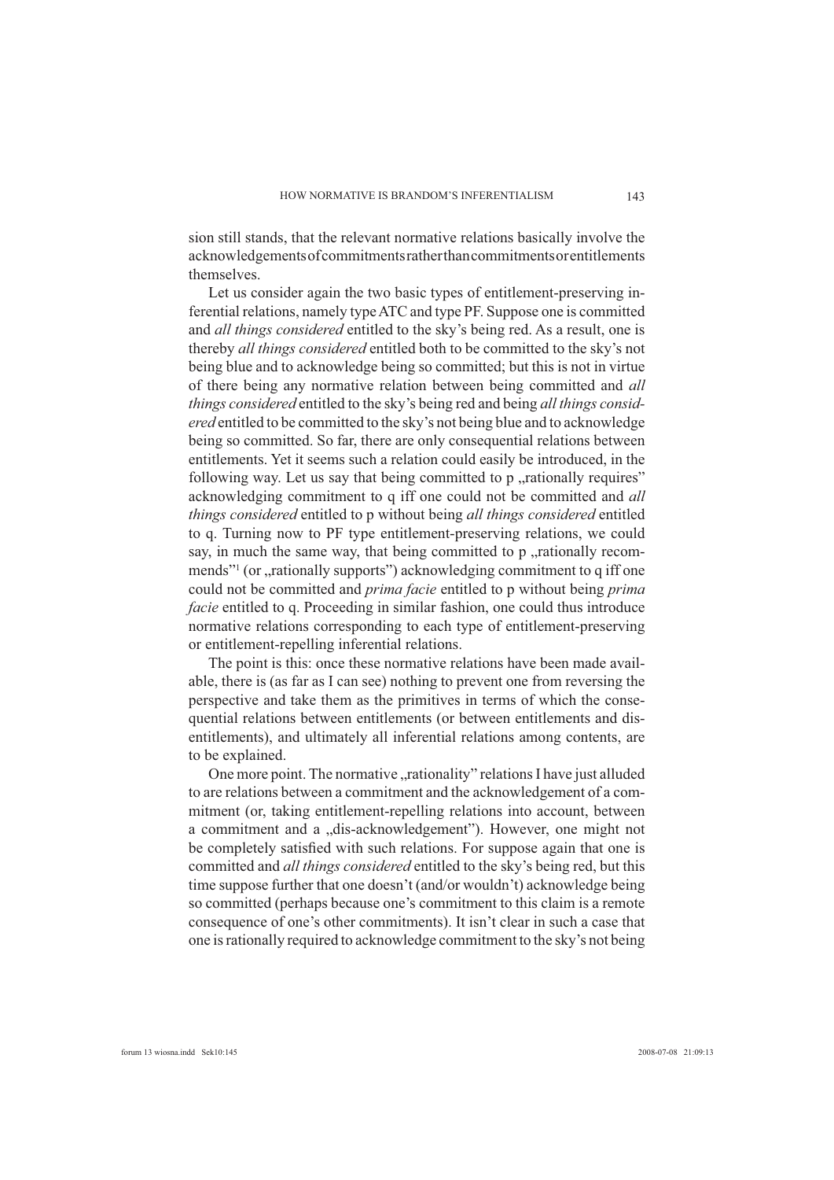sion still stands, that the relevant normative relations basically involve the acknowledgements of commitments rather than commitments or entitlements themselves.

Let us consider again the two basic types of entitlement-preserving inferential relations, namely type ATC and type PF. Suppose one is committed and *all things considered* entitled to the sky's being red. As a result, one is thereby *all things considered* entitled both to be committed to the sky's not being blue and to acknowledge being so committed; but this is not in virtue of there being any normative relation between being committed and *all things considered* entitled to the sky's being red and being *all things considered* entitled to be committed to the sky's not being blue and to acknowledge being so committed. So far, there are only consequential relations between entitlements. Yet it seems such a relation could easily be introduced, in the following way. Let us say that being committed to  $p$ , rationally requires" acknowledging commitment to q iff one could not be committed and *all things considered* entitled to p without being *all things considered* entitled to q. Turning now to PF type entitlement-preserving relations, we could say, in much the same way, that being committed to  $p$ , rationally recommends"<sup>1</sup> (or "rationally supports") acknowledging commitment to q iff one could not be committed and *prima facie* entitled to p without being *prima facie* entitled to q. Proceeding in similar fashion, one could thus introduce normative relations corresponding to each type of entitlement-preserving or entitlement-repelling inferential relations.

The point is this: once these normative relations have been made available, there is (as far as I can see) nothing to prevent one from reversing the perspective and take them as the primitives in terms of which the consequential relations between entitlements (or between entitlements and disentitlements), and ultimately all inferential relations among contents, are to be explained.

One more point. The normative "rationality" relations I have just alluded to are relations between a commitment and the acknowledgement of a commitment (or, taking entitlement-repelling relations into account, between a commitment and a "dis-acknowledgement"). However, one might not be completely satisfied with such relations. For suppose again that one is committed and *all things considered* entitled to the sky's being red, but this time suppose further that one doesn't (and/or wouldn't) acknowledge being so committed (perhaps because one's commitment to this claim is a remote consequence of one's other commitments). It isn't clear in such a case that one is rationally required to acknowledge commitment to the sky's not being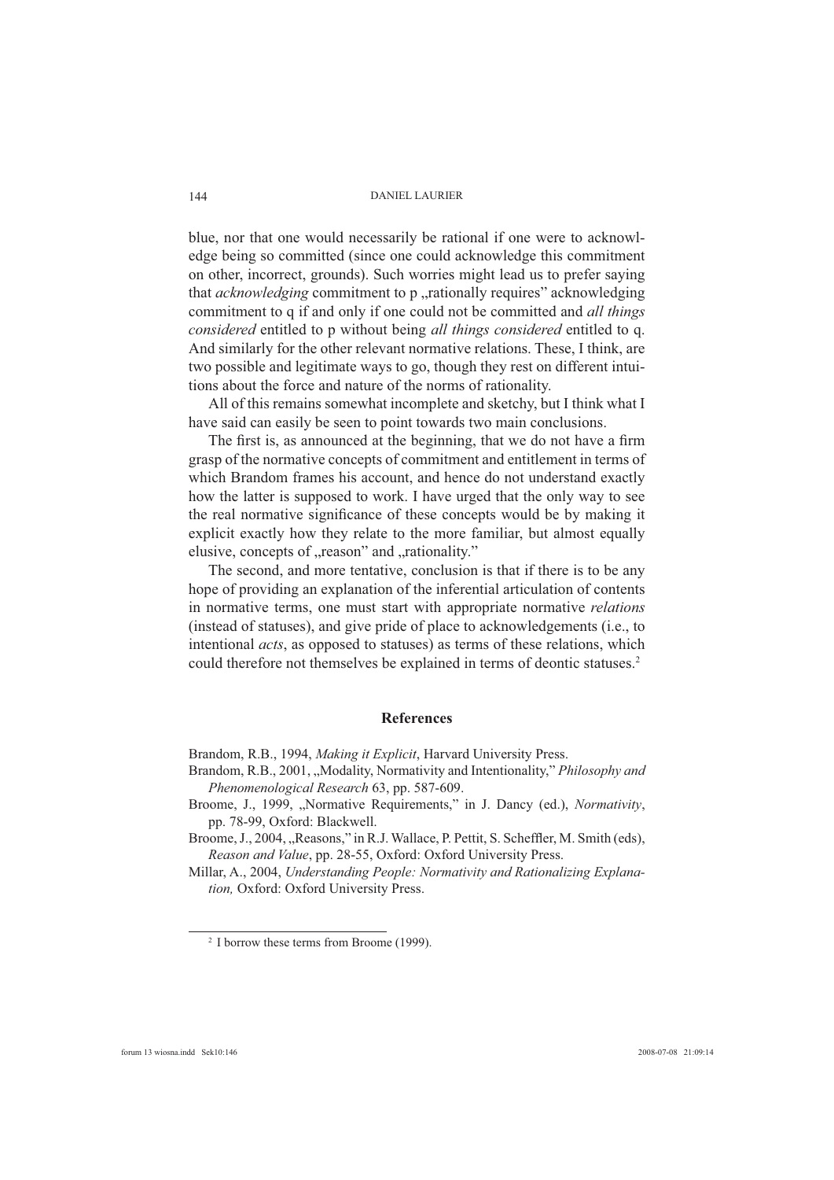blue, nor that one would necessarily be rational if one were to acknowledge being so committed (since one could acknowledge this commitment on other, incorrect, grounds). Such worries might lead us to prefer saying that *acknowledging* commitment to p "rationally requires" acknowledging commitment to q if and only if one could not be committed and *all things considered* entitled to p without being *all things considered* entitled to q. And similarly for the other relevant normative relations. These, I think, are two possible and legitimate ways to go, though they rest on different intuitions about the force and nature of the norms of rationality.

All of this remains somewhat incomplete and sketchy, but I think what I have said can easily be seen to point towards two main conclusions.

The first is, as announced at the beginning, that we do not have a firm grasp of the normative concepts of commitment and entitlement in terms of which Brandom frames his account, and hence do not understand exactly how the latter is supposed to work. I have urged that the only way to see the real normative significance of these concepts would be by making it explicit exactly how they relate to the more familiar, but almost equally elusive, concepts of "reason" and "rationality."

The second, and more tentative, conclusion is that if there is to be any hope of providing an explanation of the inferential articulation of contents in normative terms, one must start with appropriate normative *relations* (instead of statuses), and give pride of place to acknowledgements (i.e., to intentional *acts*, as opposed to statuses) as terms of these relations, which could therefore not themselves be explained in terms of deontic statuses.<sup>2</sup>

### **References**

Brandom, R.B., 1994, *Making it Explicit*, Harvard University Press.

- Brandom, R.B., 2001, "Modality, Normativity and Intentionality," *Philosophy and Phenomenological Research* 63, pp. 587-609.
- Broome, J., 1999, "Normative Requirements," in J. Dancy (ed.), *Normativity*, pp. 78-99, Oxford: Blackwell.

Broome, J., 2004, "Reasons," in R.J. Wallace, P. Pettit, S. Scheffler, M. Smith (eds), *Reason and Value*, pp. 28-55, Oxford: Oxford University Press.

Millar, A., 2004, *Understanding People: Normativity and Rationalizing Explanation,* Oxford: Oxford University Press.

<sup>2</sup> I borrow these terms from Broome (1999).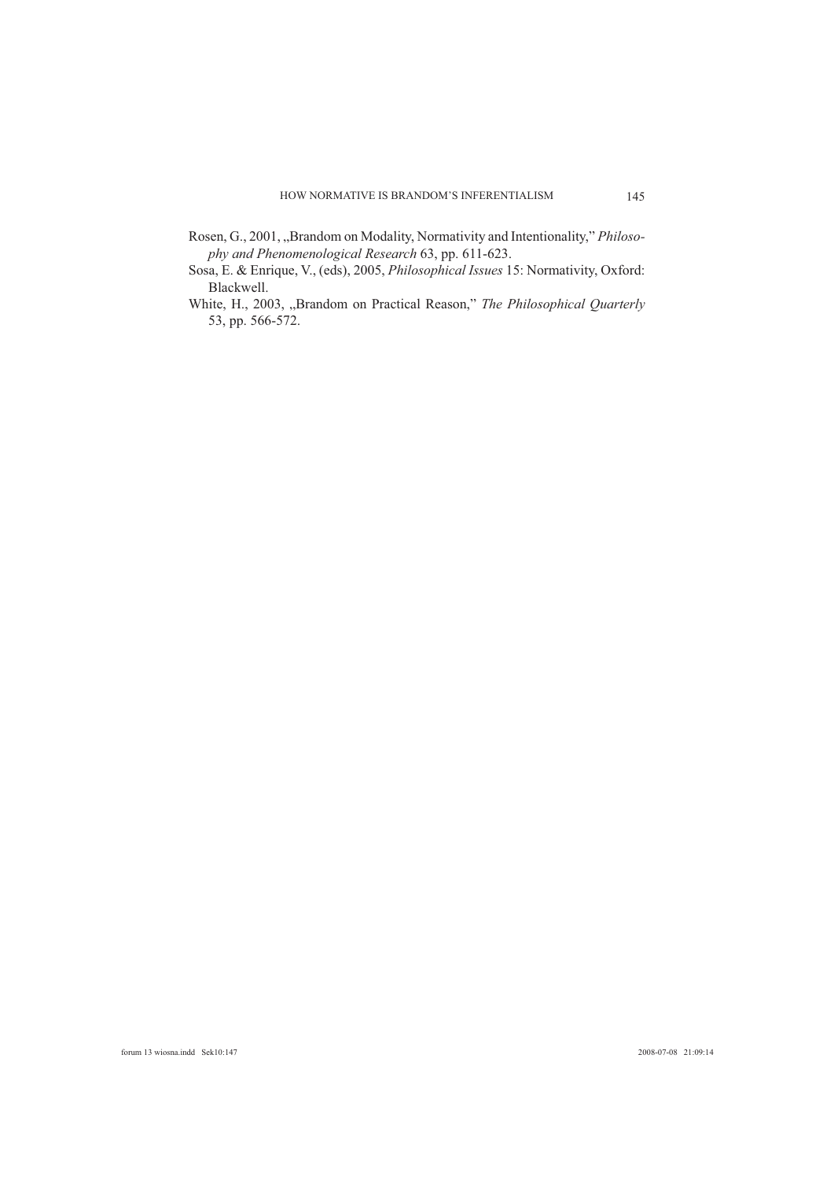- Rosen, G., 2001, "Brandom on Modality, Normativity and Intentionality," *Philosophy and Phenomenological Research* 63, pp. 611-623.
- Sosa, E. & Enrique, V., (eds), 2005, *Philosophical Issues* 15: Normativity, Oxford: Blackwell.
- White, H., 2003, "Brandom on Practical Reason," *The Philosophical Quarterly* 53, pp. 566-572.